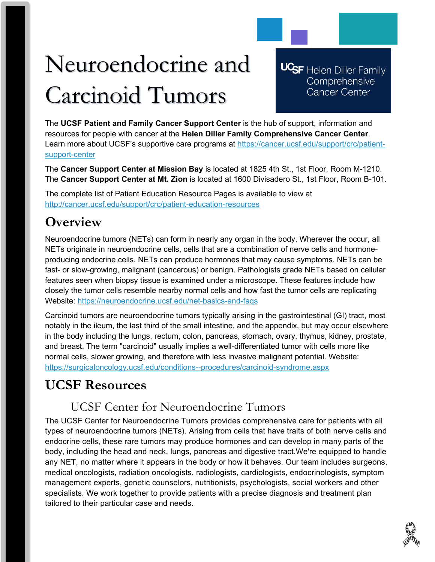# Neuroendocrine and Carcinoid Tumors

**UCSF** Helen Diller Family Comprehensive **Cancer Center** 

The **UCSF Patient and Family Cancer Support Center** is the hub of support, information and resources for people with cancer at the **Helen Diller Family Comprehensive Cancer Center**. Learn more about UCSF's supportive care programs at [https://cancer.ucsf.edu/support/crc/patient](https://cancer.ucsf.edu/support/crc/patient-support-center)[support-center](https://cancer.ucsf.edu/support/crc/patient-support-center)

The **Cancer Support Center at Mission Bay** is located at 1825 4th St., 1st Floor, Room M-1210. The **Cancer Support Center at Mt. Zion** is located at 1600 Divisadero St., 1st Floor, Room B-101.

The complete list of Patient Education Resource Pages is available to view at <http://cancer.ucsf.edu/support/crc/patient-education-resources>

## **Overview**

Neuroendocrine tumors (NETs) can form in nearly any organ in the body. Wherever the occur, all NETs originate in neuroendocrine cells, cells that are a combination of nerve cells and hormoneproducing endocrine cells. NETs can produce hormones that may cause symptoms. NETs can be fast- or slow-growing, malignant (cancerous) or benign. Pathologists grade NETs based on cellular features seen when biopsy tissue is examined under a microscope. These features include how closely the tumor cells resemble nearby normal cells and how fast the tumor cells are replicating Website:<https://neuroendocrine.ucsf.edu/net-basics-and-faqs>

Carcinoid tumors are neuroendocrine tumors typically arising in the gastrointestinal (GI) tract, most notably in the ileum, the last third of the small intestine, and the appendix, but may occur elsewhere in the body including the lungs, rectum, colon, pancreas, stomach, ovary, thymus, kidney, prostate, and breast. The term "carcinoid" usually implies a well-differentiated tumor with cells more like normal cells, slower growing, and therefore with less invasive malignant potential. Website: <https://surgicaloncology.ucsf.edu/conditions--procedures/carcinoid-syndrome.aspx>

# **UCSF Resources**

## UCSF Center for Neuroendocrine Tumors

The UCSF Center for Neuroendocrine Tumors provides comprehensive care for patients with all types of neuroendocrine tumors (NETs). Arising from cells that have traits of both nerve cells and endocrine cells, these rare tumors may produce hormones and can develop in many parts of the body, including the head and neck, lungs, pancreas and digestive tract.We're equipped to handle any NET, no matter where it appears in the body or how it behaves. Our team includes surgeons, medical oncologists, radiation oncologists, radiologists, cardiologists, endocrinologists, symptom management experts, genetic counselors, nutritionists, psychologists, social workers and other specialists. We work together to provide patients with a precise diagnosis and treatment plan tailored to their particular case and needs.

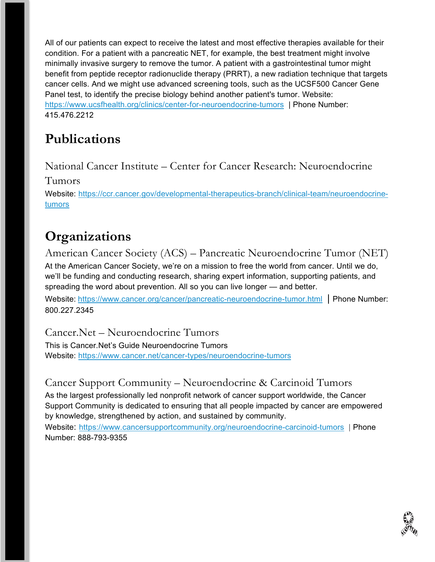All of our patients can expect to receive the latest and most effective therapies available for their condition. For a patient with a pancreatic NET, for example, the best treatment might involve minimally invasive surgery to remove the tumor. A patient with a gastrointestinal tumor might benefit from peptide receptor radionuclide therapy (PRRT), a new radiation technique that targets cancer cells. And we might use advanced screening tools, such as the UCSF500 Cancer Gene Panel test, to identify the precise biology behind another patient's tumor. Website: <https://www.ucsfhealth.org/clinics/center-for-neuroendocrine-tumors> | Phone Number: 415.476.2212

# **Publications**

National Cancer Institute – Center for Cancer Research: Neuroendocrine

Tumors

Website: [https://ccr.cancer.gov/developmental-therapeutics-branch/clinical-team/neuroendocrine](https://ccr.cancer.gov/developmental-therapeutics-branch/clinical-team/neuroendocrine-tumors)[tumors](https://ccr.cancer.gov/developmental-therapeutics-branch/clinical-team/neuroendocrine-tumors)

# **Organizations**

American Cancer Society (ACS) – Pancreatic Neuroendocrine Tumor (NET) At the American Cancer Society, we're on a mission to free the world from cancer. Until we do, we'll be funding and conducting research, sharing expert information, supporting patients, and spreading the word about prevention. All so you can live longer — and better.

Website: <https://www.cancer.org/cancer/pancreatic-neuroendocrine-tumor.html> | Phone Number: 800.227.2345

Cancer.Net – Neuroendocrine Tumors This is Cancer.Net's Guide Neuroendocrine Tumors

Website:<https://www.cancer.net/cancer-types/neuroendocrine-tumors>

## Cancer Support Community – Neuroendocrine & Carcinoid Tumors

As the largest professionally led nonprofit network of cancer support worldwide, the Cancer Support Community is dedicated to ensuring that all people impacted by cancer are empowered by knowledge, strengthened by action, and sustained by community.

Website: <https://www.cancersupportcommunity.org/neuroendocrine-carcinoid-tumors> | Phone Number: 888-793-9355